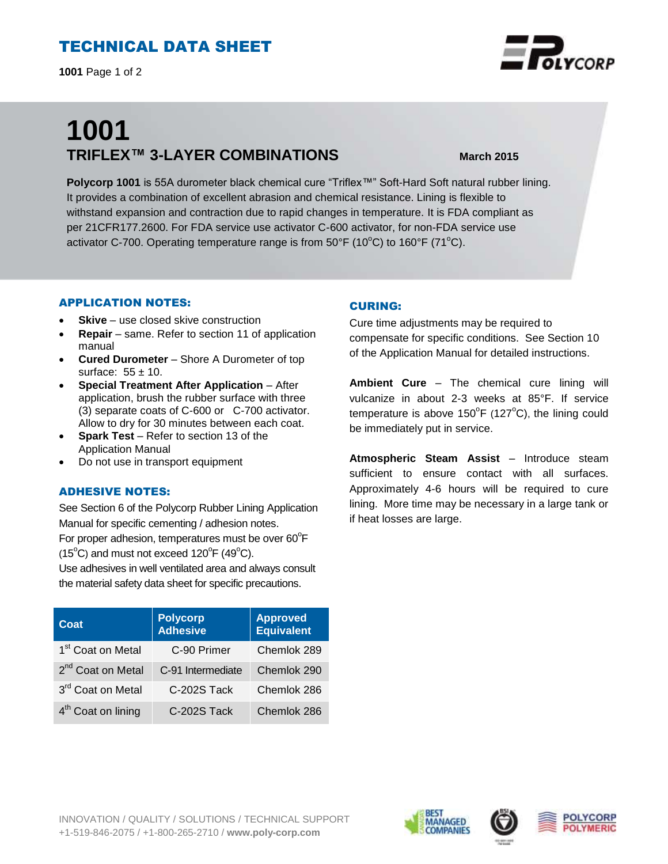## TECHNICAL DATA SHEET

**1001** Page 1 of 2

# **1001 TRIFLEX™ 3-LAYER COMBINATIONS March 2015**

**Polycorp 1001** is 55A durometer black chemical cure "Triflex™" Soft-Hard Soft natural rubber lining. It provides a combination of excellent abrasion and chemical resistance. Lining is flexible to withstand expansion and contraction due to rapid changes in temperature. It is FDA compliant as per 21CFR177.2600. For FDA service use activator C-600 activator, for non-FDA service use activator C-700. Operating temperature range is from  $50^{\circ}$ F (10 $^{\circ}$ C) to 160 $^{\circ}$ F (71 $^{\circ}$ C).

#### APPLICATION NOTES:

- **Skive** use closed skive construction
- **Repair**  same. Refer to section 11 of application manual
- **Cured Durometer** Shore A Durometer of top surface:  $55 \pm 10$ .
- **Special Treatment After Application** After application, brush the rubber surface with three (3) separate coats of C-600 or C-700 activator. Allow to dry for 30 minutes between each coat.
- **Spark Test**  Refer to section 13 of the Application Manual
- Do not use in transport equipment

#### ADHESIVE NOTES:

See Section 6 of the Polycorp Rubber Lining Application Manual for specific cementing / adhesion notes. For proper adhesion, temperatures must be over  $60^{\circ}$ F

 $(15^{\circ}C)$  and must not exceed  $120^{\circ}F(49^{\circ}C)$ .

Use adhesives in well ventilated area and always consult the material safety data sheet for specific precautions.

| Coat                           | <b>Polycorp</b><br><b>Adhesive</b> | <b>Approved</b><br><b>Equivalent</b> |
|--------------------------------|------------------------------------|--------------------------------------|
| 1 <sup>st</sup> Coat on Metal  | C-90 Primer                        | Chemlok 289                          |
| 2 <sup>nd</sup> Coat on Metal  | C-91 Intermediate                  | Chemlok 290                          |
| 3rd Coat on Metal              | C-202S Tack                        | Chemlok 286                          |
| 4 <sup>th</sup> Coat on lining | C-202S Tack                        | Chemlok 286                          |

#### CURING:

Cure time adjustments may be required to compensate for specific conditions. See Section 10 of the Application Manual for detailed instructions.

**Ambient Cure** – The chemical cure lining will vulcanize in about 2-3 weeks at 85°F. If service temperature is above  $150^{\circ}$ F (127 $^{\circ}$ C), the lining could be immediately put in service.

**Atmospheric Steam Assist** – Introduce steam sufficient to ensure contact with all surfaces. Approximately 4-6 hours will be required to cure lining. More time may be necessary in a large tank or if heat losses are large.